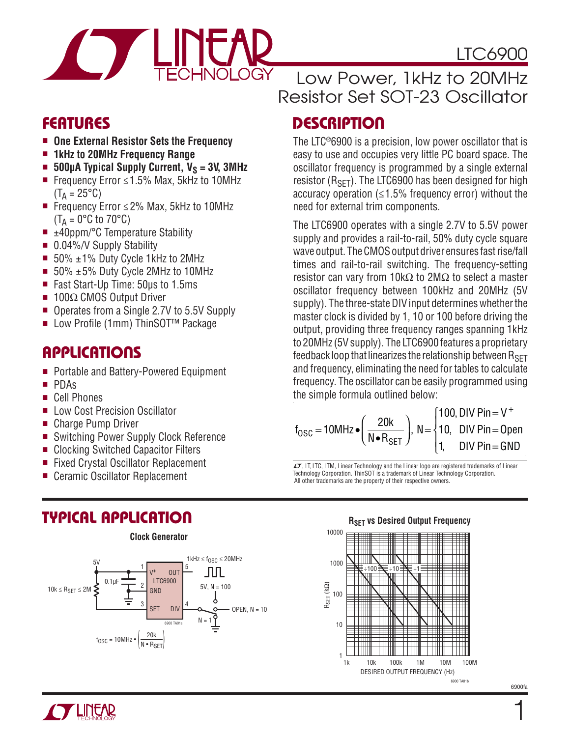

# LTC6900

### **FEATURES**

- One External Resistor Sets the Frequency
- 1kHz to 20MHz Frequency Range
- $\blacksquare$  **500µA Typical Supply Current, V<sub>S</sub> = 3V, 3MHz**
- Frequency Error  $\leq 1.5\%$  Max, 5kHz to 10MHz  $(T_A = 25^{\circ}C)$
- Frequency Error ≤2% Max, 5kHz to 10MHz  $(T_A = 0^{\circ}C \text{ to } 70^{\circ}C)$
- $\blacksquare$  ±40ppm/°C Temperature Stability
- $\blacksquare$  0.04%/V Supply Stability
- $\blacksquare$  50%  $\pm$ 1% Duty Cycle 1kHz to 2MHz
- 50%  $±5%$  Duty Cycle 2MHz to 10MHz
- Fast Start-Up Time: 50µs to 1.5ms
- 100Ω CMOS Output Driver
- Operates from a Single 2.7V to 5.5V Supply
- Low Profile (1mm) ThinSOT<sup>™</sup> Package

### **APPLICATIONS**

- Portable and Battery-Powered Equipment
- <sup>n</sup> PDAs
- Cell Phones
- Low Cost Precision Oscillator
- Charge Pump Driver
- Switching Power Supply Clock Reference
- Clocking Switched Capacitor Filters
- Fixed Crystal Oscillator Replacement
- **Ceramic Oscillator Replacement**

# **TYPICAL APPLICATION**



### Low Power, 1kHz to 20MHz Resistor Set SOT-23 Oscillator

# **DESCRIPTION**

The LTC®6900 is a precision, low power oscillator that is easy to use and occupies very little PC board space. The oscillator frequency is programmed by a single external resistor  $(R<sub>SFT</sub>)$ . The LTC6900 has been designed for high accuracy operation  $(\leq 1.5\%$  frequency error) without the need for external trim components.

The LTC6900 operates with a single 2.7V to 5.5V power supply and provides a rail-to-rail, 50% duty cycle square wave output. The CMOS output driver ensures fast rise/fall times and rail-to-rail switching. The frequency-setting resistor can vary from 10kΩ to 2MΩ to select a master oscillator frequency between 100kHz and 20MHz (5V supply). The three-state DIV input determines whether the master clock is divided by 1, 10 or 100 before driving the output, providing three frequency ranges spanning 1kHz to 20MHz (5V supply). The LTC6900 features a proprietary feedback loop that linearizes the relationship between  $R_{\text{SFT}}$ and frequency, eliminating the need for tables to calculate frequency. The oscillator can be easily programmed using the simple formula outlined below:

$$
f_{\text{OSC}} = 10 \text{MHz} \cdot \left(\frac{20 \text{k}}{\text{N} \cdot \text{R}_{\text{SET}}}\right), \text{ N} = \begin{cases} 100, \text{DIV Pin} = \text{V}^+ \\ 10, \text{ DIV Pin} = \text{Open} \\ 1, \text{ DIV Pin} = \text{GND} \end{cases}
$$

 $\sqrt{27}$ , LT, LTC, LTM, Linear Technology and the Linear logo are registered trademarks of Linear Technology Corporation. ThinSOT is a trademark of Linear Technology Corporation. All other trademarks are the property of their respective owners.

**RSET vs Desired Output Frequency** 

#### 10 RSET (kΩ) 100 1k 100k 1M 10M 1 10k 10000 1000 100M ÷100 ÷10 ÷1

DESIRED OUTPUT FREQUENCY (Hz) 6900 TA01b



6900fa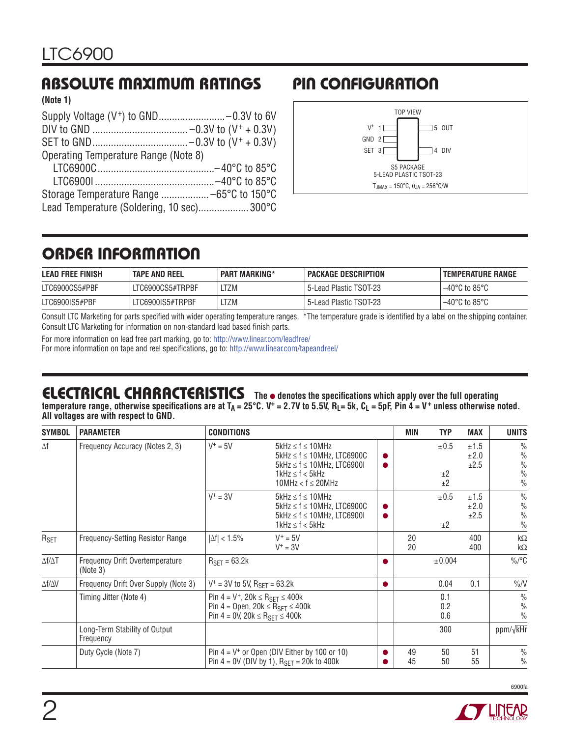# **ABSOLUTE MAXIMUM RATINGS PIN CONFIGURATION**

**(Note 1)**

| Operating Temperature Range (Note 8)      |  |
|-------------------------------------------|--|
|                                           |  |
|                                           |  |
|                                           |  |
| Lead Temperature (Soldering, 10 sec)300°C |  |



# **ORDER INFORMATION**

| <b>LEAD FREE FINISH</b> | <b>TAPE AND REEL</b> | <b>PART MARKING*</b> | <b>PACKAGE DESCRIPTION</b> | <b>TEMPERATURE RANGE</b>           |
|-------------------------|----------------------|----------------------|----------------------------|------------------------------------|
| LTC6900CS5#PBF          | LTC6900CS5#TRPBF     | _TZM                 | 5-Lead Plastic TSOT-23     | $-40^{\circ}$ C to 85°C            |
| LTC6900IS5#PBF          | LTC6900IS5#TRPBF     | _TZM                 | 5-Lead Plastic TSOT-23     | $-40^{\circ}$ C to 85 $^{\circ}$ C |

Consult LTC Marketing for parts specified with wider operating temperature ranges. \*The temperature grade is identified by a label on the shipping container. Consult LTC Marketing for information on non-standard lead based finish parts.

For more information on lead free part marking, go to: http://www.linear.com/leadfree/ For more information on tape and reel specifications, go to: http://www.linear.com/tapeandreel/

# **ELECTRICAL CHARACTERISTICS** The  $\bullet$  denotes the specifications which apply over the full operating

temperature range, otherwise specifications are at T<sub>A</sub> = 25°C. V<sup>+</sup> = 2.7V to 5.5V, R<sub>L</sub>= 5k, C<sub>L</sub> = 5pF, Pin 4 = V<sup>+</sup> unless otherwise noted. **All voltages are with respect to GND.**

| <b>SYMBOL</b>       | <b>PARAMETER</b>                            | <b>CONDITIONS</b>                                                                                      |                                                                                                                                                                            | MIN      | <b>TYP</b>        | <b>MAX</b>           | <b>UNITS</b>                                                                      |
|---------------------|---------------------------------------------|--------------------------------------------------------------------------------------------------------|----------------------------------------------------------------------------------------------------------------------------------------------------------------------------|----------|-------------------|----------------------|-----------------------------------------------------------------------------------|
| $\Delta f$          | Frequency Accuracy (Notes 2, 3)             | $V^+ = 5V$                                                                                             | $5$ kHz $\leq$ f $\leq$ 10MHz<br>$5$ kHz $\leq$ f $\leq$ 10MHz, LTC6900C<br>$5$ kHz $\leq$ f $\leq$ 10MHz. LTC69001<br>$1$ kHz $\leq$ f $<$ 5kHz<br>10MHz < $f \le 20$ MHz |          | ±0.5<br>±2<br>±2  | ±1.5<br>±2.0<br>±2.5 | $\frac{0}{0}$<br>$\frac{0}{0}$<br>$\frac{0}{0}$<br>$\frac{0}{0}$<br>$\frac{0}{0}$ |
|                     |                                             | $V^+ = 3V$                                                                                             | $5kHz \le f \le 10MHz$<br>$5kHz \le f \le 10MHz$ , LTC6900C<br>$5kHz \le f \le 10MHz$ , LTC69001<br>$1$ kHz $\leq$ f $<$ 5kHz                                              |          | $\pm 0.5$<br>±2   | ±1.5<br>±2.0<br>±2.5 | $\frac{0}{0}$<br>$\frac{0}{0}$<br>$\frac{0}{0}$<br>$\frac{0}{0}$                  |
| R <sub>SET</sub>    | Frequency-Setting Resistor Range            | $ \Delta f  < 1.5\%$                                                                                   | $V^+ = 5V$<br>$V^+ = 3V$                                                                                                                                                   | 20<br>20 |                   | 400<br>400           | $k\Omega$<br>$k\Omega$                                                            |
| $\Delta f/\Delta T$ | Frequency Drift Overtemperature<br>(Note 3) | $RSFT = 63.2k$                                                                                         |                                                                                                                                                                            |          | ± 0.004           |                      | $\%$ /°C                                                                          |
| Δf/ΔV               | Frequency Drift Over Supply (Note 3)        | $V^+$ = 3V to 5V, R <sub>SFT</sub> = 63.2k                                                             |                                                                                                                                                                            |          | 0.04              | 0.1                  | $\%N$                                                                             |
|                     | Timing Jitter (Note 4)                      | Pin 4 = $V^+$ , 20 $k$ ≤ R <sub>SET</sub> ≤ 400 $k$<br>Pin 4 = 0V, 20 $k$ ≤ R <sub>SET</sub> ≤ 400 $k$ | Pin 4 = Open, $20k \leq R_{SET} \leq 400k$                                                                                                                                 |          | 0.1<br>0.2<br>0.6 |                      | $\frac{0}{0}$<br>$\frac{0}{0}$<br>$\frac{0}{0}$                                   |
|                     | Long-Term Stability of Output<br>Frequency  |                                                                                                        |                                                                                                                                                                            |          | 300               |                      | ppm/√kHr                                                                          |
|                     | Duty Cycle (Note 7)                         |                                                                                                        | Pin $4 = V^+$ or Open (DIV Either by 100 or 10)<br>Pin 4 = 0V (DIV by 1), $R_{\text{SFT}}$ = 20k to 400k                                                                   | 49<br>45 | 50<br>50          | 51<br>55             | $\frac{0}{0}$<br>$\frac{0}{0}$                                                    |

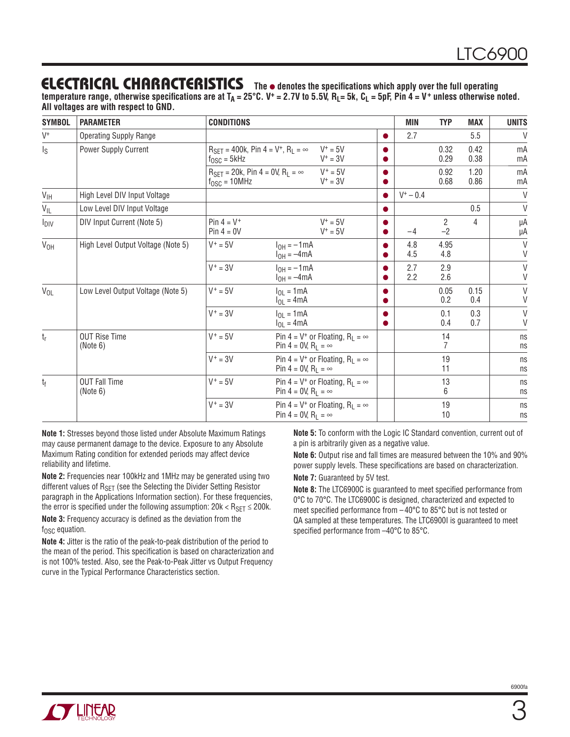### **ELECTRICAL CHARACTERISTICS** The  $\bullet$  denotes the specifications which apply over the full operating

temperature range, otherwise specifications are at T<sub>A</sub> = 25°C. V<sup>+</sup> = 2.7V to 5.5V, R<sub>L</sub>= 5k, C<sub>L</sub> = 5pF, Pin 4 = V<sup>+</sup> unless otherwise noted. **All voltages are with respect to GND.**

| <b>SYMBOL</b>           | <b>PARAMETER</b>                   | <b>CONDITIONS</b>                |                                                                              |                                                      | <b>MIN</b>  | <b>TYP</b>             | <b>MAX</b>     | <b>UNITS</b>           |
|-------------------------|------------------------------------|----------------------------------|------------------------------------------------------------------------------|------------------------------------------------------|-------------|------------------------|----------------|------------------------|
| $V^+$                   | <b>Operating Supply Range</b>      |                                  |                                                                              |                                                      | 2.7         |                        | 5.5            | $\vee$                 |
| $\mathsf{I}_\mathsf{S}$ | Power Supply Current               | $f_{\text{OSC}} = 5kHz$          | $R_{\text{SFT}} = 400k$ , Pin 4 = V <sup>+</sup> , R <sub>1</sub> = $\infty$ | $V^+=5V$<br>$V^+ = 3V$                               |             | 0.32<br>0.29           | 0.42<br>0.38   | mA<br>mA               |
|                         |                                    | $f_{\text{OSC}} = 10 \text{MHz}$ | $R_{\text{SFT}} = 20k$ , Pin 4 = 0V, $R_1 = \infty$                          | $V^+ = 5V$<br>$V^+ = 3V$                             |             | 0.92<br>0.68           | 1.20<br>0.86   | mA<br>mA               |
| $V_{\text{IH}}$         | High Level DIV Input Voltage       |                                  |                                                                              |                                                      | $V^+ - 0.4$ |                        |                | $\vee$                 |
| $V_{IL}$                | Low Level DIV Input Voltage        |                                  |                                                                              |                                                      |             |                        | 0.5            | V                      |
| I <sub>DIV</sub>        | DIV Input Current (Note 5)         | Pin $4 = V^+$<br>$Pin 4 = 0V$    |                                                                              | $V^+ = 5V$<br>$V^+ = 5V$                             | $-4$        | $\overline{2}$<br>$-2$ | $\overline{4}$ | μA<br>μA               |
| V <sub>OH</sub>         | High Level Output Voltage (Note 5) | $V^+ = 5V$                       | $I_{OH} = -1mA$<br>$I_{OH} = -4mA$                                           |                                                      | 4.8<br>4.5  | 4.95<br>4.8            |                | V<br>V                 |
|                         |                                    | $V^+ = 3V$                       | $I_{OH} = -1mA$<br>$I_{OH} = -4mA$                                           |                                                      | 2.7<br>2.2  | 2.9<br>2.6             |                | $\sf V$<br>$\vee$      |
| $V_{OL}$                | Low Level Output Voltage (Note 5)  | $V^+ = 5V$                       | $I_{OL} = 1mA$<br>$I_{OL} = 4mA$                                             |                                                      |             | 0.05<br>0.2            | 0.15<br>0.4    | $\vee$<br>$\mathsf{V}$ |
|                         |                                    | $V^+ = 3V$                       | $I_{OL} = 1mA$<br>$I_{OL} = 4mA$                                             |                                                      |             | 0.1<br>0.4             | 0.3<br>0.7     | $\vee$<br>$\vee$       |
| $t_{r}$                 | <b>OUT Rise Time</b><br>(Note 6)   | $V^+ = 5V$                       | Pin 4 = 0V, R <sub>1</sub> = $\infty$                                        | Pin 4 = $V^+$ or Floating, R <sub>L</sub> = $\infty$ |             | 14<br>7                |                | ns<br>ns               |
|                         |                                    | $V^+ = 3V$                       | Pin 4 = 0V, $R_1 = \infty$                                                   | Pin 4 = $V^+$ or Floating, R <sub>1</sub> = $\infty$ |             | 19<br>11               |                | ns<br>ns               |
| $t_{\rm f}$             | <b>OUT Fall Time</b><br>(Note 6)   | $V^+ = 5V$                       | Pin 4 = 0V, $R_1 = \infty$                                                   | Pin 4 = $V^+$ or Floating, R <sub>L</sub> = $\infty$ |             | 13<br>6                |                | ns<br>ns               |
|                         |                                    | $V^+ = 3V$                       | Pin 4 = 0V, $R_1 = \infty$                                                   | Pin 4 = $V^+$ or Floating, R <sub>L</sub> = $\infty$ |             | 19<br>10               |                | ns<br>ns               |

**Note 1:** Stresses beyond those listed under Absolute Maximum Ratings may cause permanent damage to the device. Exposure to any Absolute Maximum Rating condition for extended periods may affect device reliability and lifetime.

**Note 2:** Frequencies near 100kHz and 1MHz may be generated using two different values of R<sub>SET</sub> (see the Selecting the Divider Setting Resistor paragraph in the Applications Information section). For these frequencies, the error is specified under the following assumption:  $20k < R_{\text{SET}} \le 200k$ .

**Note 3:** Frequency accuracy is defined as the deviation from the  $f_{\rm OSC}$  equation.

**Note 4:** Jitter is the ratio of the peak-to-peak distribution of the period to the mean of the period. This specification is based on characterization and is not 100% tested. Also, see the Peak-to-Peak Jitter vs Output Frequency curve in the Typical Performance Characteristics section.

**Note 5:** To conform with the Logic IC Standard convention, current out of a pin is arbitrarily given as a negative value.

**Note 6:** Output rise and fall times are measured between the 10% and 90% power supply levels. These specifications are based on characterization.

**Note 7:** Guaranteed by 5V test.

**Note 8:** The LTC6900C is guaranteed to meet specified performance from 0°C to 70°C. The LTC6900C is designed, characterized and expected to meet specified performance from  $-40^{\circ}$ C to 85 $^{\circ}$ C but is not tested or QA sampled at these temperatures. The LTC6900I is guaranteed to meet specified performance from  $-40^{\circ}$ C to 85 $^{\circ}$ C.

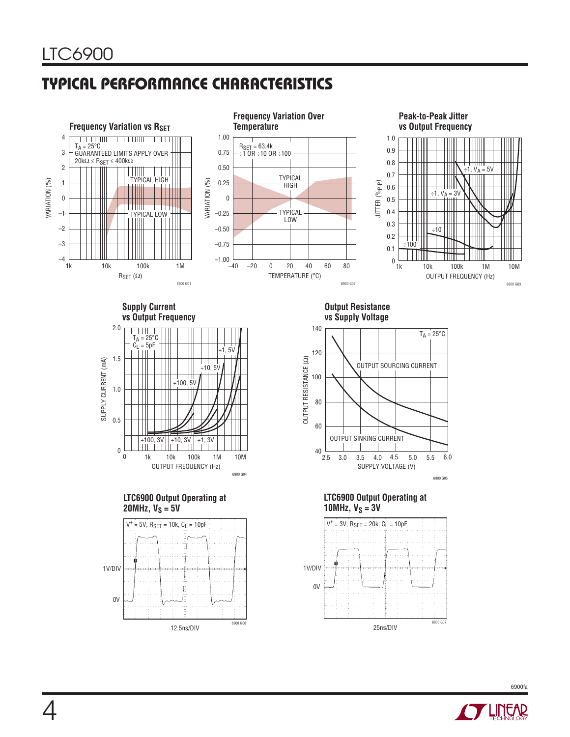# **TYPICAL PERFORMANCE CHARACTERISTICS**



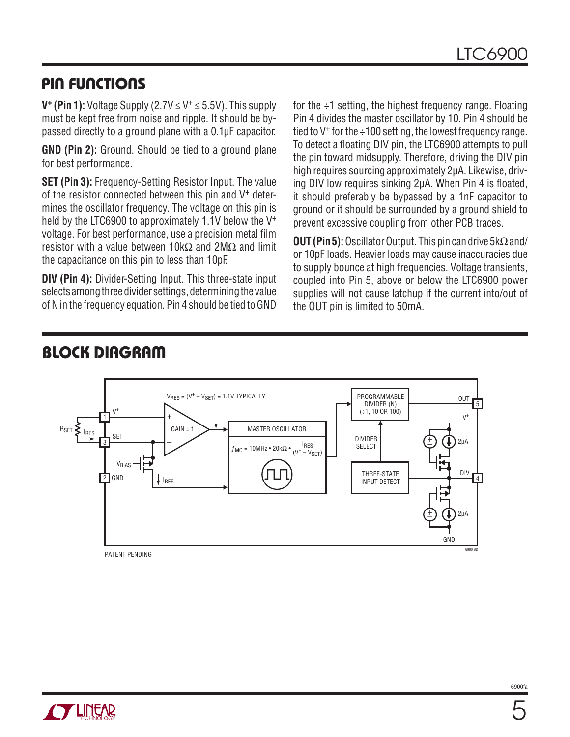### **PIN FUNCTIONS**

**V<sup>+</sup>** (Pin 1): Voltage Supply (2.7V  $\leq$  V<sup>+</sup>  $\leq$  5.5V). This supply must be kept free from noise and ripple. It should be bypassed directly to a ground plane with a 0.1μF capacitor.

**GND (Pin 2):** Ground. Should be tied to a ground plane for best performance.

**SET (Pin 3):** Frequency-Setting Resistor Input. The value of the resistor connected between this pin and  $V<sup>+</sup>$  determines the oscillator frequency. The voltage on this pin is held by the LTC6900 to approximately 1.1V below the V<sup>+</sup> voltage. For best performance, use a precision metal film resistor with a value between 10kΩ and 2MΩ and limit the capacitance on this pin to less than 10pF.

**DIV (Pin 4):** Divider-Setting Input. This three-state input selects among three divider settings, determining the value of N in the frequency equation. Pin 4 should be tied to GND

for the  $\div$ 1 setting, the highest frequency range. Floating Pin 4 divides the master oscillator by 10. Pin 4 should be tied to  $V^+$  for the  $\div$  100 setting, the lowest frequency range. To detect a floating DIV pin, the LTC6900 attempts to pull the pin toward midsupply. Therefore, driving the DIV pin high requires sourcing approximately 2μA. Likewise, driving DIV low requires sinking 2μA. When Pin 4 is floated. it should preferably be bypassed by a 1nF capacitor to ground or it should be surrounded by a ground shield to prevent excessive coupling from other PCB traces.

**OUT (Pin 5):** Oscillator Output. This pin can drive 5kΩ and/ or 10pF loads. Heavier loads may cause inaccuracies due to supply bounce at high frequencies. Voltage transients, coupled into Pin 5, above or below the LTC6900 power supplies will not cause latchup if the current into/out of the OUT pin is limited to 50mA.



**BLOCK DIAGRAM**

PATENT PENDING

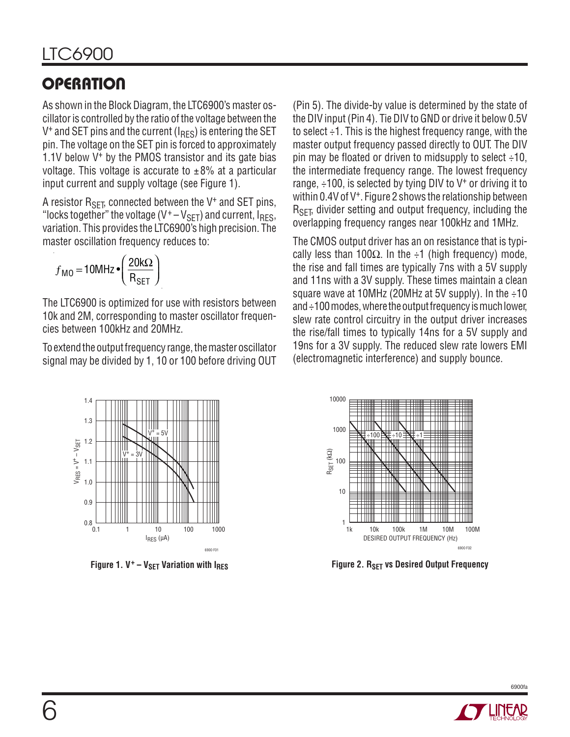# **OPERATION**

As shown in the Block Diagram, the LTC6900's master oscillator is controlled by the ratio of the voltage between the  $V^+$  and SET pins and the current ( $I_{RFS}$ ) is entering the SET pin. The voltage on the SET pin is forced to approximately 1.1V below  $V^+$  by the PMOS transistor and its gate bias voltage. This voltage is accurate to  $\pm 8\%$  at a particular input current and supply voltage (see Figure 1).

A resistor  $R_{\text{SFT}}$ , connected between the V<sup>+</sup> and SET pins, "locks together" the voltage  $(V^+ - V_{\text{SET}})$  and current,  $I_{\text{RES}}$ , variation. This provides the LTC6900's high precision. The master oscillation frequency reduces to:

$$
f_{\text{MO}} = 10 \text{MHz} \cdot \left(\frac{20 \text{k}\Omega}{\text{R}_{\text{SET}}}\right)
$$

The LTC6900 is optimized for use with resistors between 10k and 2M, corresponding to master oscillator frequencies between 100kHz and 20MHz.

To extend the output frequency range, the master oscillator signal may be divided by 1, 10 or 100 before driving OUT (Pin 5). The divide-by value is determined by the state of the DIV input (Pin 4). Tie DIV to GND or drive it below 0.5V to select ÷1. This is the highest frequency range, with the master output frequency passed directly to OUT. The DIV pin may be floated or driven to midsupply to select  $\div$ 10, the intermediate frequency range. The lowest frequency range,  $\div$ 100, is selected by tying DIV to V<sup>+</sup> or driving it to within 0.4V of V<sup>+</sup>. Figure 2 shows the relationship between  $R_{\text{SFT}}$ , divider setting and output frequency, including the overlapping frequency ranges near 100kHz and 1MHz.

The CMOS output driver has an on resistance that is typically less than 100 $\Omega$ . In the ÷1 (high frequency) mode, the rise and fall times are typically 7ns with a 5V supply and 11ns with a 3V supply. These times maintain a clean square wave at 10MHz (20MHz at 5V supply). In the  $\div 10$ and ÷100 modes, where the output frequency is much lower, slew rate control circuitry in the output driver increases the rise/fall times to typically 14ns for a 5V supply and 19ns for a 3V supply. The reduced slew rate lowers EMI (electromagnetic interference) and supply bounce.





**Figure 1. V<sup>+</sup> – V<sub>SET</sub> Variation with I<sub>RES</sub> <b>Figure 2. R** Figure 2. R<sub>SET</sub> vs Desired Output Frequency

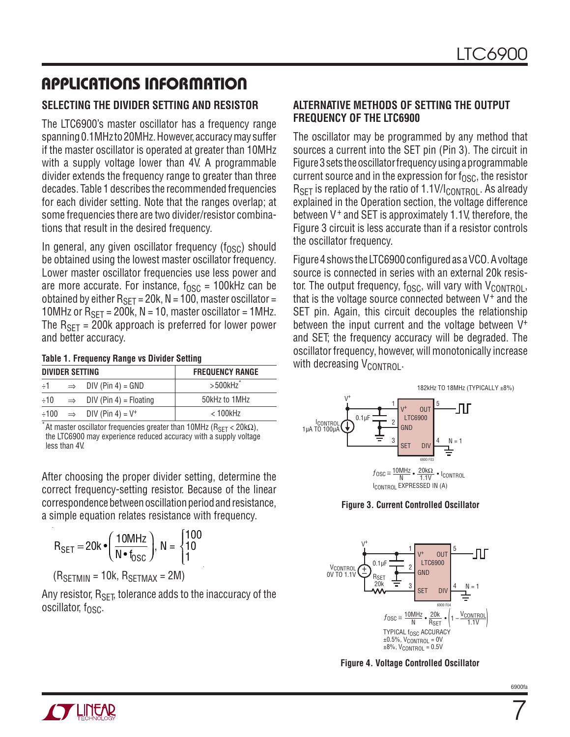#### **SELECTING THE DIVIDER SETTING AND RESISTOR**

The LTC6900's master oscillator has a frequency range spanning 0.1MHz to 20MHz. However, accuracy may suffer if the master oscillator is operated at greater than 10MHz with a supply voltage lower than 4V. A programmable divider extends the frequency range to greater than three decades. Table 1 describes the recommended frequencies for each divider setting. Note that the ranges overlap; at some frequencies there are two divider/resistor combinations that result in the desired frequency.

In general, any given oscillator frequency  $(f_{\Omega S}c)$  should be obtained using the lowest master oscillator frequency. Lower master oscillator frequencies use less power and are more accurate. For instance,  $f_{\text{OSC}} = 100$ kHz can be obtained by either  $R_{\text{SFT}} = 20k$ , N = 100, master oscillator = 10MHz or  $R_{\text{SFT}}$  = 200k, N = 10, master oscillator = 1MHz. The  $R_{\text{SFT}}$  = 200k approach is preferred for lower power and better accuracy.

#### **Table 1. Frequency Range vs Divider Setting**

| DIVIDER SETTING |  |                                                                    | <b>FREQUENCY RANGE</b> |  |  |  |
|-----------------|--|--------------------------------------------------------------------|------------------------|--|--|--|
| $\div 1$        |  | $\Rightarrow$ DIV (Pin 4) = GND                                    | $>$ 500 $kHz$          |  |  |  |
| $\div 10$       |  | $\Rightarrow$ DIV (Pin 4) = Floating                               | 50kHz to 1MHz          |  |  |  |
|                 |  | $\div 100 \quad \Rightarrow \quad \text{DIV (Pin 4)} = \text{V}^+$ | $<$ 100 $k$ Hz         |  |  |  |

At master oscillator frequencies greater than 10MHz ( $R_{\text{SFT}}$  < 20k $\Omega$ ), the LTC6900 may experience reduced accuracy with a supply voltage less than 4V.

After choosing the proper divider setting, determine the correct frequency-setting resistor. Because of the linear correspondence between oscillation period and resistance, a simple equation relates resistance with frequency.

$$
R_{\text{SET}} = 20k \cdot \left(\frac{10MHz}{N \cdot f_{\text{OSC}}}\right), N = \begin{cases} 100\\ 10\\ 1 \end{cases}
$$

 $(R_{SETMIN} = 10k, R_{SETMAX} = 2M)$ 

Any resistor,  $R_{\text{SFT}}$  tolerance adds to the inaccuracy of the oscillator,  $f_{\rm OSC}$ .

#### **ALTERNATIVE METHODS OF SETTING THE OUTPUT FREQUENCY OF THE LTC6900**

The oscillator may be programmed by any method that sources a current into the SET pin (Pin 3). The circuit in Figure 3 sets the oscillator frequency using a programmable current source and in the expression for  $f_{\rm OSC}$ , the resistor  $R_{\text{SFT}}$  is replaced by the ratio of 1.1V/ $I_{\text{COMTRO}}$ . As already explained in the Operation section, the voltage difference between V<sup>+</sup> and SET is approximately 1.1V, therefore, the Figure 3 circuit is less accurate than if a resistor controls the oscillator frequency.

Figure 4 shows the LTC6900 configured as a VCO. A voltage source is connected in series with an external 20k resistor. The output frequency,  $f_{\text{OSC}}$ , will vary with  $V_{\text{COMTROL}}$ , that is the voltage source connected between  $V^+$  and the SET pin. Again, this circuit decouples the relationship between the input current and the voltage between V+ and SET; the frequency accuracy will be degraded. The oscillator frequency, however, will monotonically increase with decreasing  $V_{\text{CONTROL}}$ .



**Figure 3. Current Controlled Oscillator**



**Figure 4. Voltage Controlled Oscillator**

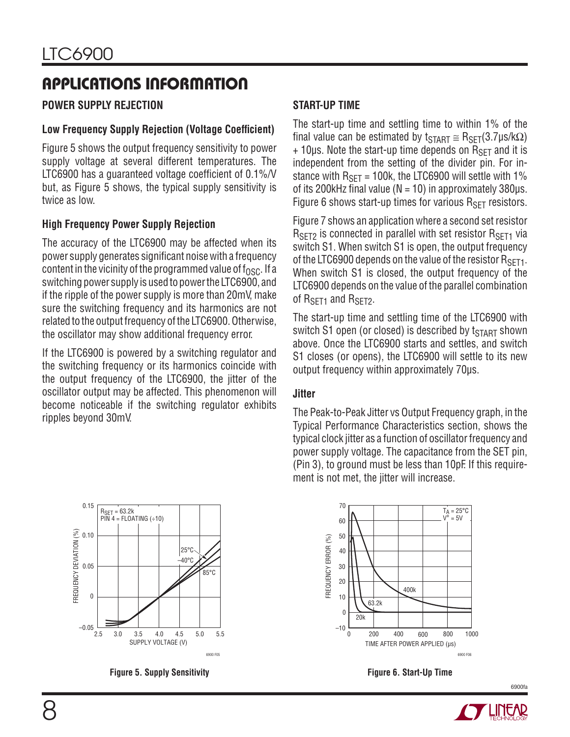#### **POWER SUPPLY REJECTION**

#### **Low Frequency Supply Rejection (Voltage Coefficient)**

Figure 5 shows the output frequency sensitivity to power supply voltage at several different temperatures. The LTC6900 has a quaranteed voltage coefficient of  $0.1\%$ /V but, as Figure 5 shows, the typical supply sensitivity is twice as low.

#### **High Frequency Power Supply Rejection**

The accuracy of the LTC6900 may be affected when its power supply generates significant noise with a frequency content in the vicinity of the programmed value of  $f_{\Omega SC}$ . If a switching power supply is used to power the LTC6900, and if the ripple of the power supply is more than 20mV, make sure the switching frequency and its harmonics are not related to the output frequency of the LTC6900. Otherwise, the oscillator may show additional frequency error.

If the LTC6900 is powered by a switching regulator and the switching frequency or its harmonics coincide with the output frequency of the LTC6900, the jitter of the oscillator output may be affected. This phenomenon will become noticeable if the switching regulator exhibits ripples beyond 30mV.

### **START-UP TIME**

The start-up time and settling time to within 1% of the final value can be estimated by  $t_{\text{START}} \cong R_{\text{SET}}(3.7 \mu s / k\Omega)$  $+ 10 \mu s$ . Note the start-up time depends on  $R_{SFT}$  and it is independent from the setting of the divider pin. For instance with  $R_{\text{SFT}}$  = 100k, the LTC6900 will settle with 1% of its 200 kHz final value ( $N = 10$ ) in approximately 380  $\mu$ s. Figure 6 shows start-up times for various  $R_{\text{SFT}}$  resistors.

Figure 7 shows an application where a second set resistor  $R_{\text{SFT2}}$  is connected in parallel with set resistor  $R_{\text{SFT1}}$  via switch S1. When switch S1 is open, the output frequency of the LTC6900 depends on the value of the resistor  $R_{\text{SFT1}}$ . When switch S1 is closed, the output frequency of the LTC6900 depends on the value of the parallel combination of R<sub>SFT1</sub> and R<sub>SFT2</sub>.

The start-up time and settling time of the LTC6900 with switch S1 open (or closed) is described by  $t_{\text{START}}$  shown above. Once the LTC6900 starts and settles, and switch S1 closes (or opens), the LTC6900 will settle to its new output frequency within approximately 70μs.

#### **Jitter**

The Peak-to-Peak Jitter vs Output Frequency graph, in the Typical Performance Characteristics section, shows the typical clock jitter as a function of oscillator frequency and power supply voltage. The capacitance from the SET pin, (Pin 3), to ground must be less than 10pF. If this requirement is not met, the jitter will increase.







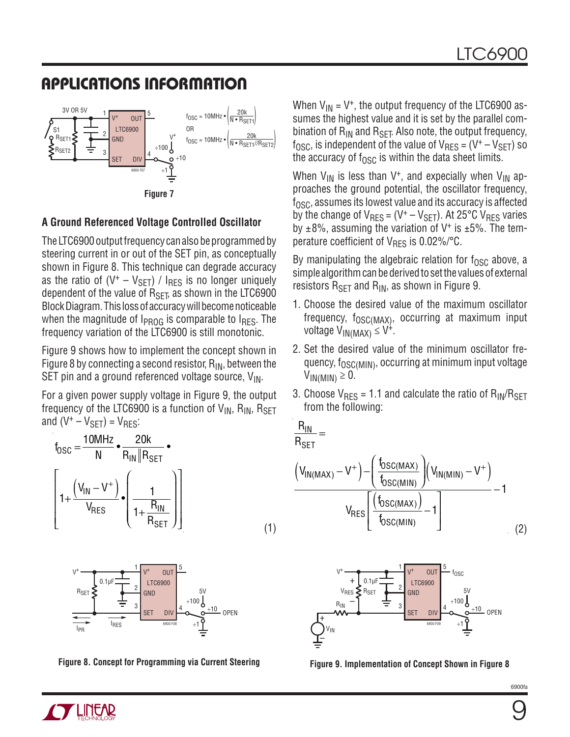

#### **A Ground Referenced Voltage Controlled Oscillator**

The LTC6900 output frequency can also be programmed by steering current in or out of the SET pin, as conceptually shown in Figure 8. This technique can degrade accuracy as the ratio of  $(V^+ - V_{\text{SET}})$  /  $I_{\text{RES}}$  is no longer uniquely dependent of the value of  $R_{\text{SFT}}$ , as shown in the LTC6900 Block Diagram. This loss of accuracy will become noticeable when the magnitude of  $I_{PROG}$  is comparable to  $I_{RES}$ . The frequency variation of the LTC6900 is still monotonic.

Figure 9 shows how to implement the concept shown in Figure 8 by connecting a second resistor,  $R_{IN}$ , between the SET pin and a ground referenced voltage source,  $V_{IN}$ .

For a given power supply voltage in Figure 9, the output frequency of the LTC6900 is a function of  $V_{IN}$ ,  $R_{IN}$ ,  $R_{SFT}$ and  $(V^+ - V_{\text{SFT}}) = V_{\text{RFS}}$ :

$$
t_{\text{OSC}} = \frac{10 \text{MHz}}{\text{N}} \cdot \frac{20 \text{k}}{\text{R}_{\text{IN}} \parallel \text{R}_{\text{SET}}} \cdot \left( \frac{1}{1 + \frac{(V_{\text{IN}} - V^{+})}{V_{\text{RES}}}} \right) \left[ \frac{1}{1 + \frac{\text{R}_{\text{IN}}}{\text{R}_{\text{SET}}}} \right]
$$
(1)



**Figure 8. Concept for Programming via Current Steering Figure 9. Implementation of Concept Shown in Figure 8**

When  $V_{1N} = V^+$ , the output frequency of the LTC6900 assumes the highest value and it is set by the parallel combination of  $R_{IN}$  and  $R_{SET}$ . Also note, the output frequency,  $f_{\text{OSC}}$ , is independent of the value of  $V_{\text{RFS}} = (V^+ - V_{\text{SFT}})$  so the accuracy of  $f_{\text{OSC}}$  is within the data sheet limits.

When  $V_{IN}$  is less than V<sup>+</sup>, and expecially when  $V_{IN}$  approaches the ground potential, the oscillator frequency,  $f_{\rm OSC}$ , assumes its lowest value and its accuracy is affected by the change of  $V_{RES} = (V^+ - V_{SET})$ . At 25°C  $V_{RES}$  varies by  $\pm 8\%$ , assuming the variation of V<sup>+</sup> is  $\pm 5\%$ . The temperature coefficient of  $V_{RFS}$  is 0.02%/°C.

By manipulating the algebraic relation for  $f_{\rm OSC}$  above, a simple algorithm can be derived to set the values of external resistors  $R_{\text{SFT}}$  and  $R_{\text{IN}}$ , as shown in Figure 9.

- 1. Choose the desired value of the maximum oscillator frequency,  $f_{OSC(MAX)}$ , occurring at maximum input voltage  $V_{IN(MAX)} \leq V^+$ .
- 2. Set the desired value of the minimum oscillator frequency,  $f_{\rm OSC(MIN)}$ , occurring at minimum input voltage  $V_{IN(MIN)} \geq 0$ .
- 3. Choose  $V_{RFS}$  = 1.1 and calculate the ratio of  $R_{IN}/R_{SFT}$ from the following:

$$
\frac{R_{IN}}{R_{SET}}
$$

$$
\frac{1}{\text{SET}} =
$$

$$
\frac{\left(V_{IN(MAX)}-V^{+}\right)-\left(\frac{f_{OSC(MAX)}}{f_{OSC(MIN)}}\right)\left(V_{IN(MIN)}-V^{+}\right)}{V_{RES}\left[\frac{\left(f_{OSC(MAX)}\right)}{f_{OSC(MIN)}}-1\right]}-1
$$
\n(2)



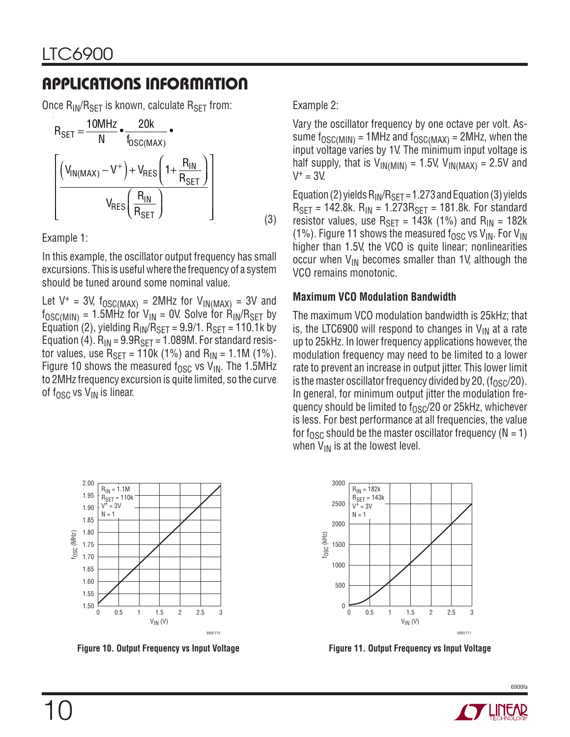Once  $R_{IN}/R_{SFT}$  is known, calculate  $R_{SFT}$  from:

$$
R_{\text{SET}} = \frac{10 \text{MHz}}{\text{N}} \cdot \frac{20 \text{k}}{f_{\text{OSC}(\text{MAX})}} \cdot \left[\frac{\left(V_{\text{IN}(\text{MAX})} - V^{+}\right) + V_{\text{RES}}\left(1 + \frac{R_{\text{IN}}}{R_{\text{SET}}}\right)}{V_{\text{RES}}\left(\frac{R_{\text{IN}}}{R_{\text{SET}}}\right)}\right]
$$
(3)

Example 1:

In this example, the oscillator output frequency has small excursions. This is useful where the frequency of a system should be tuned around some nominal value.

Let  $V^+$  = 3V, f<sub>OSC(MAX)</sub> = 2MHz for  $V_{IN(MAX)}$  = 3V and  $f_{\text{OSC(MIN)}} = 1.5$ MHz for  $V_{\text{IN}} = 0$ V. Solve for  $\dot{R}_{\text{IN}}/R_{\text{SET}}$  by Equation (2), yielding  $R_{IN}/R_{SET} = 9.9/1$ .  $R_{SET} = 110.1$ k by Equation (4).  $R_{IN} = 9.9R_{SFT} = 1.089M$ . For standard resistor values, use  $R_{\text{SET}} = 110k (1\%)$  and  $R_{\text{IN}} = 1.1M (1\%)$ . Figure 10 shows the measured f<sub>OSC</sub> vs  $V_{IN}$ . The 1.5MHz to 2MHz frequency excursion is quite limited, so the curve of  $f_{\text{OSC}}$  vs  $V_{\text{IN}}$  is linear.

Example 2:

Vary the oscillator frequency by one octave per volt. Assume f<sub>OSC(MIN)</sub> = 1MHz and f<sub>OSC(MAX)</sub> = 2MHz, when the input voltage varies by 1V. The minimum input voltage is half supply, that is  $V_{IN(MIN)} = 1.5V$ ,  $V_{IN(MAX)} = 2.5V$  and  $V^+ = 3V$ .

Equation (2) yields  $R_{IN}/R_{SET} = 1.273$  and Equation (3) yields  $R_{\text{SET}} = 142.8$ k.  $R_{\text{IN}} = 1.273R_{\text{SET}} = 181.8$ k. For standard resistor values, use  $R_{\text{SET}} = 143k$  (1%) and  $R_{\text{IN}} = 182k$ (1%). Figure 11 shows the measured f<sub>OSC</sub> vs V<sub>IN</sub>. For V<sub>IN</sub> higher than 1.5V, the VCO is quite linear; nonlinearities occur when  $V_{\text{IN}}$  becomes smaller than 1V, although the VCO remains monotonic.

#### **Maximum VCO Modulation Bandwidth**

The maximum VCO modulation bandwidth is 25kHz; that is, the LTC6900 will respond to changes in  $V_{IN}$  at a rate up to 25kHz. In lower frequency applications however, the modulation frequency may need to be limited to a lower rate to prevent an increase in output jitter. This lower limit is the master oscillator frequency divided by 20,  $(f<sub>OSC</sub>/20)$ . In general, for minimum output jitter the modulation frequency should be limited to  $f_{OSC}/20$  or 25kHz, whichever is less. For best performance at all frequencies, the value for f<sub>OSC</sub> should be the master oscillator frequency ( $N = 1$ ) when  $V_{IN}$  is at the lowest level.





**Figure 10. Output Frequency vs Input Voltage Figure 11. Output Frequency vs Input Voltage**

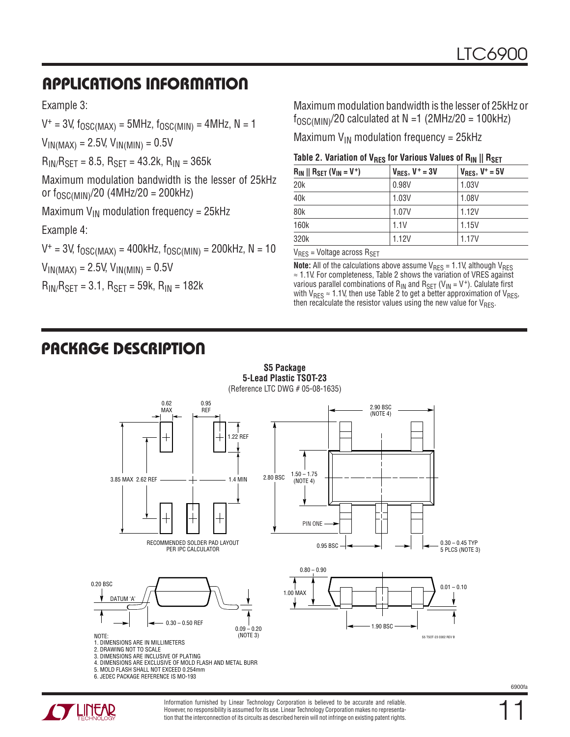Example 3:

 $V^+$  = 3V,  $f_{OSC(MAX)}$  = 5MHz,  $f_{OSC(MIN)}$  = 4MHz, N = 1

 $V_{IN(MAX)} = 2.5V, V_{IN(MIN)} = 0.5V$ 

 $R_{IN}/R_{SFT}$  = 8.5,  $R_{SFT}$  = 43.2k,  $R_{IN}$  = 365k

Maximum modulation bandwidth is the lesser of 25kHz or  $f_{\rm OSC(MIN)}$ /20 (4MHz/20 = 200kHz)

Maximum  $V_{IN}$  modulation frequency = 25kHz

Example 4:

 $V^+$  = 3V,  $f_{\text{OSC}(MAX)}$  = 400kHz,  $f_{\text{OSC}(MIN)}$  = 200kHz, N = 10

 $V_{IN(MAX)} = 2.5V, V_{IN(MIN)} = 0.5V$ 

 $R_{IN}/R_{SET} = 3.1$ ,  $R_{SET} = 59k$ ,  $R_{IN} = 182k$ 

Maximum modulation bandwidth is the lesser of 25kHz or  $f_{\text{OSC}(\text{MIN})}$ /20 calculated at N =1 (2MHz/20 = 100kHz)

Maximum  $V_{IN}$  modulation frequency = 25kHz

| Table 2. Variation of $V_{RES}$ for Various Values of $R_{IN} \parallel R_{SET}$ |  |  |
|----------------------------------------------------------------------------------|--|--|
|----------------------------------------------------------------------------------|--|--|

| $R_{IN}$    $R_{SET}$ ( $V_{IN}$ = V <sup>+</sup> ) | $V_{RES}$ , $V^+ = 3V$ | $V_{RES}$ , $V^* = 5V$ |
|-----------------------------------------------------|------------------------|------------------------|
| 20 <sub>k</sub>                                     | 0.98V                  | 1.03V                  |
| 40 <sub>k</sub>                                     | 1.03V                  | 1.08V                  |
| 80 <sub>k</sub>                                     | 1.07V                  | 1.12V                  |
| 160k                                                | 1.1V                   | 1.15V                  |
| 320k                                                | 1.12V                  | 1.17V                  |

 $V_{RFS}$  = Voltage across  $R_{SFT}$ 

**Note:** All of the calculations above assume  $V_{RES} = 1.1V$ , although  $V_{RES}$ ≈ 1.1V. For completeness, Table 2 shows the variation of VRES against various parallel combinations of  $R_{IN}$  and  $R_{SET}$  (V<sub>IN</sub> = V<sup>+</sup>). Calulate first with  $V_{RES} \approx 1.1V$ , then use Table 2 to get a better approximation of  $V_{RES}$ , then recalculate the resistor values using the new value for  $V_{RES}$ .

# **PACKAGE DESCRIPTION**



**S5 Package 5-Lead Plastic TSOT-23**

5. MOLD FLASH SHALL NOT EXCEED 0.254mm 6. JEDEC PACKAGE REFERENCE IS MO-193



Information furnished by Linear Technology Corporation is believed to be accurate and reliable. However, no responsibility is assumed for its use. Linear Technology Corporation makes no representation that the interconnection of its circuits as described herein will not infringe on existing patent rights.